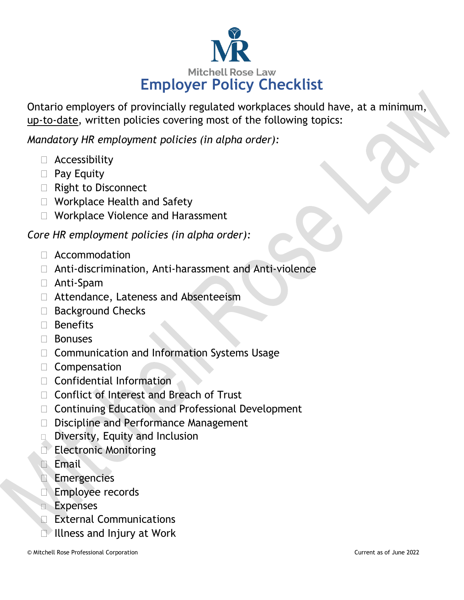

Ontario employers of provincially regulated workplaces should have, at a minimum, up-to-date, written policies covering most of the following topics:

*Mandatory HR employment policies (in alpha order):*

- Accessibility
- **Pay Equity**
- □ Right to Disconnect
- □ Workplace Health and Safety
- □ Workplace Violence and Harassment

*Core HR employment policies (in alpha order):*

- Accommodation
- Anti-discrimination, Anti-harassment and Anti-violence
- Anti-Spam
- □ Attendance, Lateness and Absenteeism
- □ Background Checks
- □ Benefits
- Bonuses
- □ Communication and Information Systems Usage
- Compensation
- $\Box$  Confidential Information
- □ Conflict of Interest and Breach of Trust
- □ Continuing Education and Professional Development
- D Discipline and Performance Management
- Diversity, Equity and Inclusion
- Electronic Monitoring
- **Email**
- Emergencies
- **Employee records**
- **Expenses**
- External Communications
- **Illness and Injury at Work**